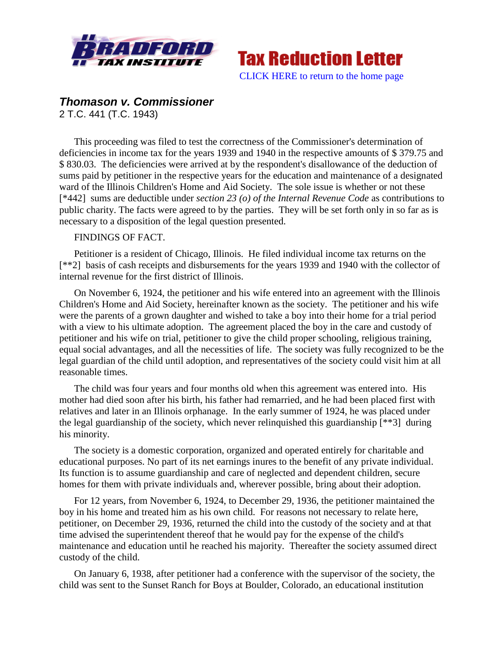



## *Thomason v. Commissioner* 2 T.C. 441 (T.C. 1943)

This proceeding was filed to test the correctness of the Commissioner's determination of deficiencies in income tax for the years 1939 and 1940 in the respective amounts of \$ 379.75 and \$ 830.03. The deficiencies were arrived at by the respondent's disallowance of the deduction of sums paid by petitioner in the respective years for the education and maintenance of a designated ward of the Illinois Children's Home and Aid Society. The sole issue is whether or not these [\*442] sums are deductible under *section 23 (o) of the Internal Revenue Code* as contributions to public charity. The facts were agreed to by the parties. They will be set forth only in so far as is necessary to a disposition of the legal question presented.

## FINDINGS OF FACT.

Petitioner is a resident of Chicago, Illinois. He filed individual income tax returns on the [\*\*2] basis of cash receipts and disbursements for the years 1939 and 1940 with the collector of internal revenue for the first district of Illinois.

On November 6, 1924, the petitioner and his wife entered into an agreement with the Illinois Children's Home and Aid Society, hereinafter known as the society. The petitioner and his wife were the parents of a grown daughter and wished to take a boy into their home for a trial period with a view to his ultimate adoption. The agreement placed the boy in the care and custody of petitioner and his wife on trial, petitioner to give the child proper schooling, religious training, equal social advantages, and all the necessities of life. The society was fully recognized to be the legal guardian of the child until adoption, and representatives of the society could visit him at all reasonable times.

The child was four years and four months old when this agreement was entered into. His mother had died soon after his birth, his father had remarried, and he had been placed first with relatives and later in an Illinois orphanage. In the early summer of 1924, he was placed under the legal guardianship of the society, which never relinquished this guardianship [\*\*3] during his minority.

The society is a domestic corporation, organized and operated entirely for charitable and educational purposes. No part of its net earnings inures to the benefit of any private individual. Its function is to assume guardianship and care of neglected and dependent children, secure homes for them with private individuals and, wherever possible, bring about their adoption.

For 12 years, from November 6, 1924, to December 29, 1936, the petitioner maintained the boy in his home and treated him as his own child. For reasons not necessary to relate here, petitioner, on December 29, 1936, returned the child into the custody of the society and at that time advised the superintendent thereof that he would pay for the expense of the child's maintenance and education until he reached his majority. Thereafter the society assumed direct custody of the child.

On January 6, 1938, after petitioner had a conference with the supervisor of the society, the child was sent to the Sunset Ranch for Boys at Boulder, Colorado, an educational institution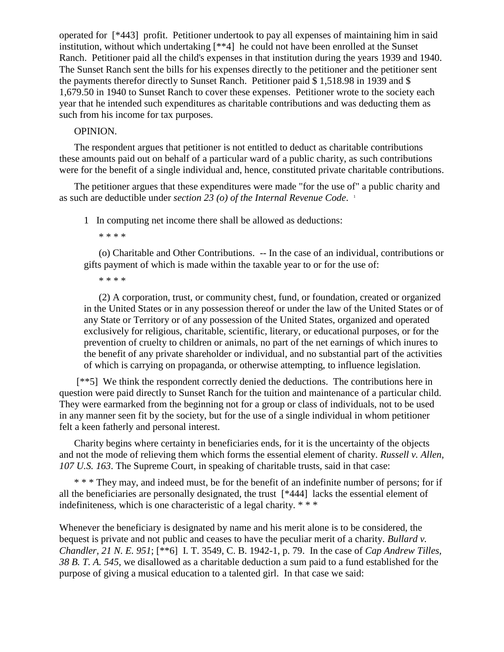operated for [\*443] profit. Petitioner undertook to pay all expenses of maintaining him in said institution, without which undertaking [\*\*4] he could not have been enrolled at the Sunset Ranch. Petitioner paid all the child's expenses in that institution during the years 1939 and 1940. The Sunset Ranch sent the bills for his expenses directly to the petitioner and the petitioner sent the payments therefor directly to Sunset Ranch. Petitioner paid \$ 1,518.98 in 1939 and \$ 1,679.50 in 1940 to Sunset Ranch to cover these expenses. Petitioner wrote to the society each year that he intended such expenditures as charitable contributions and was deducting them as such from his income for tax purposes.

## OPINION.

The respondent argues that petitioner is not entitled to deduct as charitable contributions these amounts paid out on behalf of a particular ward of a public charity, as such contributions were for the benefit of a single individual and, hence, constituted private charitable contributions.

The petitioner argues that these expenditures were made "for the use of" a public charity and as such are deductible under *section 23 (o) of the Internal Revenue Code*. 1

1 In computing net income there shall be allowed as deductions:

\* \* \* \*

(o) Charitable and Other Contributions. -- In the case of an individual, contributions or gifts payment of which is made within the taxable year to or for the use of:

\* \* \* \*

(2) A corporation, trust, or community chest, fund, or foundation, created or organized in the United States or in any possession thereof or under the law of the United States or of any State or Territory or of any possession of the United States, organized and operated exclusively for religious, charitable, scientific, literary, or educational purposes, or for the prevention of cruelty to children or animals, no part of the net earnings of which inures to the benefit of any private shareholder or individual, and no substantial part of the activities of which is carrying on propaganda, or otherwise attempting, to influence legislation.

[\*\*5] We think the respondent correctly denied the deductions. The contributions here in question were paid directly to Sunset Ranch for the tuition and maintenance of a particular child. They were earmarked from the beginning not for a group or class of individuals, not to be used in any manner seen fit by the society, but for the use of a single individual in whom petitioner felt a keen fatherly and personal interest.

Charity begins where certainty in beneficiaries ends, for it is the uncertainty of the objects and not the mode of relieving them which forms the essential element of charity. *Russell v. Allen, 107 U.S. 163*. The Supreme Court, in speaking of charitable trusts, said in that case:

\* \* \* They may, and indeed must, be for the benefit of an indefinite number of persons; for if all the beneficiaries are personally designated, the trust [\*444] lacks the essential element of indefiniteness, which is one characteristic of a legal charity. \* \* \*

Whenever the beneficiary is designated by name and his merit alone is to be considered, the bequest is private and not public and ceases to have the peculiar merit of a charity. *Bullard v. Chandler, 21 N. E. 951*; [\*\*6] I. T. 3549, C. B. 1942-1, p. 79. In the case of *Cap Andrew Tilles, 38 B. T. A. 545*, we disallowed as a charitable deduction a sum paid to a fund established for the purpose of giving a musical education to a talented girl. In that case we said: